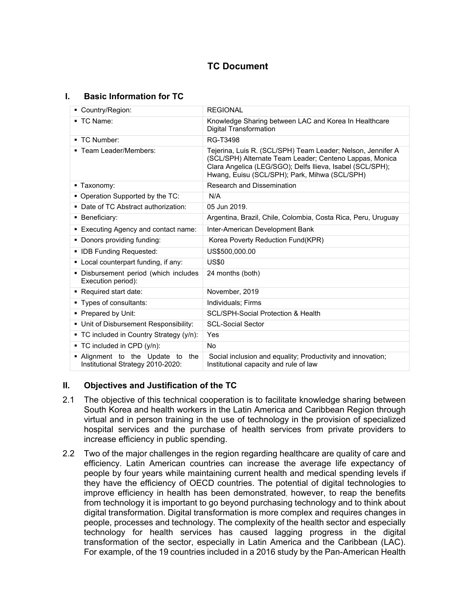# **TC Document**

# **I. Basic Information for TC**

| Country/Region:                                                          | <b>REGIONAL</b>                                                                                                                                                                                                                      |
|--------------------------------------------------------------------------|--------------------------------------------------------------------------------------------------------------------------------------------------------------------------------------------------------------------------------------|
| $\blacksquare$ TC Name:                                                  | Knowledge Sharing between LAC and Korea In Healthcare<br><b>Digital Transformation</b>                                                                                                                                               |
| ■ TC Number:                                                             | RG-T3498                                                                                                                                                                                                                             |
| ■ Team Leader/Members:                                                   | Tejerina, Luis R. (SCL/SPH) Team Leader; Nelson, Jennifer A<br>(SCL/SPH) Alternate Team Leader; Centeno Lappas, Monica<br>Clara Angelica (LEG/SGO); Delfs Ilieva, Isabel (SCL/SPH);<br>Hwang, Euisu (SCL/SPH); Park, Mihwa (SCL/SPH) |
| • Taxonomy:                                                              | <b>Research and Dissemination</b>                                                                                                                                                                                                    |
| • Operation Supported by the TC:                                         | N/A                                                                                                                                                                                                                                  |
| • Date of TC Abstract authorization:                                     | 05 Jun 2019                                                                                                                                                                                                                          |
| • Beneficiary:                                                           | Argentina, Brazil, Chile, Colombia, Costa Rica, Peru, Uruguay                                                                                                                                                                        |
| ■ Executing Agency and contact name:                                     | Inter-American Development Bank                                                                                                                                                                                                      |
| • Donors providing funding:                                              | Korea Poverty Reduction Fund(KPR)                                                                                                                                                                                                    |
| • IDB Funding Requested:                                                 | US\$500,000.00                                                                                                                                                                                                                       |
| • Local counterpart funding, if any:                                     | <b>US\$0</b>                                                                                                                                                                                                                         |
| • Disbursement period (which includes<br>Execution period):              | 24 months (both)                                                                                                                                                                                                                     |
| Required start date:                                                     | November, 2019                                                                                                                                                                                                                       |
| ■ Types of consultants:                                                  | Individuals: Firms                                                                                                                                                                                                                   |
| • Prepared by Unit:                                                      | <b>SCL/SPH-Social Protection &amp; Health</b>                                                                                                                                                                                        |
| • Unit of Disbursement Responsibility:                                   | <b>SCL-Social Sector</b>                                                                                                                                                                                                             |
| • TC included in Country Strategy $(y/n)$ :                              | Yes                                                                                                                                                                                                                                  |
| $\blacksquare$ TC included in CPD (y/n):                                 | No.                                                                                                                                                                                                                                  |
| • Alignment to the Update to<br>the<br>Institutional Strategy 2010-2020: | Social inclusion and equality; Productivity and innovation;<br>Institutional capacity and rule of law                                                                                                                                |

# **II. Objectives and Justification of the TC**

- 2.1 The objective of this technical cooperation is to facilitate knowledge sharing between South Korea and health workers in the Latin America and Caribbean Region through virtual and in person training in the use of technology in the provision of specialized hospital services and the purchase of health services from private providers to increase efficiency in public spending.
- 2.2 Two of the major challenges in the region regarding healthcare are quality of care and efficiency. Latin American countries can increase the average life expectancy of people by four years while maintaining current health and medical spending levels if they have the efficiency of OECD countries. The potential of digital technologies to improve efficiency in health has been demonstrated, however, to reap the benefits from technology it is important to go beyond purchasing technology and to think about digital transformation. Digital transformation is more complex and requires changes in people, processes and technology. The complexity of the health sector and especially technology for health services has caused lagging progress in the digital transformation of the sector, especially in Latin America and the Caribbean (LAC). For example, of the 19 countries included in a 2016 study by the Pan-American Health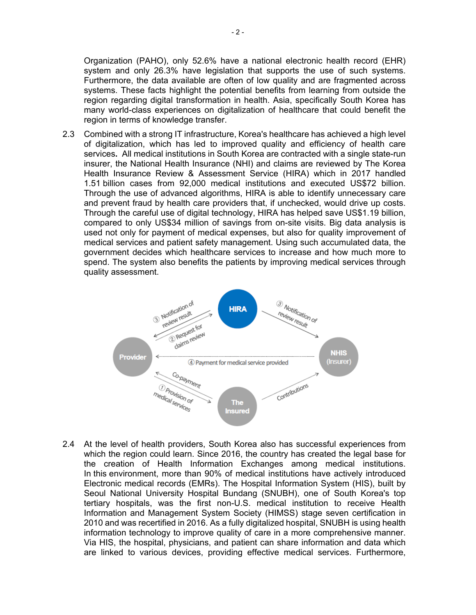Organization (PAHO), only 52.6% have a national electronic health record (EHR) system and only 26.3% have legislation that supports the use of such systems. Furthermore, the data available are often of low quality and are fragmented across systems. These facts highlight the potential benefits from learning from outside the region regarding digital transformation in health. Asia, specifically South Korea has many world-class experiences on digitalization of healthcare that could benefit the region in terms of knowledge transfer.

2.3 Combined with a strong IT infrastructure, Korea's healthcare has achieved a high level of digitalization, which has led to improved quality and efficiency of health care services**.** All medical institutions in South Korea are contracted with a single state-run insurer, the National Health Insurance (NHI) and claims are reviewed by The Korea Health Insurance Review & Assessment Service (HIRA) which in 2017 handled 1.51 billion cases from 92,000 medical institutions and executed US\$72 billion. Through the use of advanced algorithms, HIRA is able to identify unnecessary care and prevent fraud by health care providers that, if unchecked, would drive up costs. Through the careful use of digital technology, HIRA has helped save US\$1.19 billion, compared to only US\$34 million of savings from on-site visits. Big data analysis is used not only for payment of medical expenses, but also for quality improvement of medical services and patient safety management. Using such accumulated data, the government decides which healthcare services to increase and how much more to spend. The system also benefits the patients by improving medical services through quality assessment.



<span id="page-1-0"></span>2.4 At the level of health providers, South Korea also has successful experiences from which the region could learn. Since 2016, the country has created the legal base for the creation of Health Information Exchanges among medical institutions. In this environment, more than 90% of medical institutions have actively introduced Electronic medical records (EMRs). The Hospital Information System (HIS), built by Seoul National University Hospital Bundang (SNUBH), one of South Korea's top tertiary hospitals, was the first non-U.S. medical institution to receive Health Information and Management System Society (HIMSS) stage seven certification in 2010 and was recertified in 2016. As a fully digitalized hospital, SNUBH is using health information technology to improve quality of care in a more comprehensive manner. Via HIS, the hospital, physicians, and patient can share information and data which are linked to various devices, providing effective medical services. Furthermore,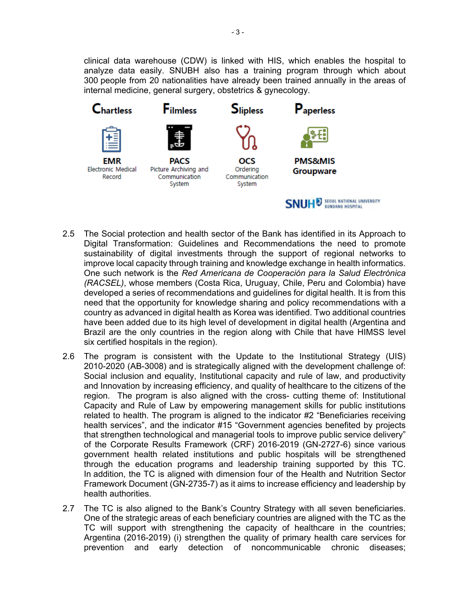clinical data warehouse (CDW) is linked with HIS, which enables the hospital to analyze data easily. SNUBH also has a training program through which about 300 people from 20 nationalities have already been trained annually in the areas of internal medicine, general surgery, obstetrics & gynecology.



- 2.5 The Social protection and health sector of the Bank has identified in its [Approach to](file:///C://Users/12406/Desktop/Approach_to_Digital_Transformation_Guidelines_and_Recommendations.pdf)  [Digital Transformation: Guidelines and Recommendations](file:///C://Users/12406/Desktop/Approach_to_Digital_Transformation_Guidelines_and_Recommendations.pdf) the need to promote sustainability of digital investments through the support of regional networks to improve local capacity through training and knowledge exchange in health informatics. One such network is the *Red Americana de Cooperación para la Salud Electrónica (RACSEL)*, whose members (Costa Rica, Uruguay, Chile, Peru and Colombia) have developed a series of recommendations and guidelines for digital health. It is from this need that the opportunity for knowledge sharing and policy recommendations with a country as advanced in digital health as Korea was identified. Two additional countries have been added due to its high level of development in digital health (Argentina and Brazil are the only countries in the region along with Chile that have HIMSS level six certified hospitals in the region).
- 2.6 The program is consistent with the Update to the Institutional Strategy (UIS) 2010-2020 (AB-3008) and is strategically aligned with the development challenge of: Social inclusion and equality, Institutional capacity and rule of law, and productivity and Innovation by increasing efficiency, and quality of healthcare to the citizens of the region. The program is also aligned with the cross- cutting theme of: Institutional Capacity and Rule of Law by empowering management skills for public institutions related to health. The program is aligned to the indicator #2 "Beneficiaries receiving health services", and the indicator #15 "Government agencies benefited by projects that strengthen technological and managerial tools to improve public service delivery" of the Corporate Results Framework (CRF) 2016-2019 (GN-2727-6) since various government health related institutions and public hospitals will be strengthened through the education programs and leadership training supported by this TC. In addition, the TC is aligned with dimension four of the Health and Nutrition Sector Framework Document (GN-2735-7) as it aims to increase efficiency and leadership by health authorities.
- 2.7 The TC is also aligned to the Bank's Country Strategy with all seven beneficiaries. One of the strategic areas of each beneficiary countries are aligned with the TC as the TC will support with strengthening the capacity of healthcare in the countries; Argentina (2016-2019) (i) strengthen the quality of primary health care services for prevention and early detection of noncommunicable chronic diseases;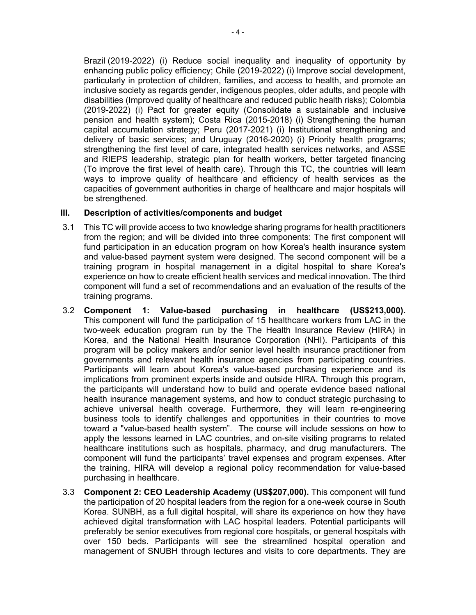Brazil (2019-2022) (i) Reduce social inequality and inequality of opportunity by enhancing public policy efficiency; Chile (2019-2022) (i) Improve social development, particularly in protection of children, families, and access to health, and promote an inclusive society as regards gender, indigenous peoples, older adults, and people with disabilities (Improved quality of healthcare and reduced public health risks); Colombia (2019-2022) (i) Pact for greater equity (Consolidate a sustainable and inclusive pension and health system); Costa Rica (2015-2018) (i) Strengthening the human capital accumulation strategy; Peru (2017-2021) (i) Institutional strengthening and delivery of basic services; and Uruguay (2016-2020) (i) Priority health programs; strengthening the first level of care, integrated health services networks, and ASSE and RIEPS leadership, strategic plan for health workers, better targeted financing (To improve the first level of health care). Through this TC, the countries will learn ways to improve quality of healthcare and efficiency of health services as the capacities of government authorities in charge of healthcare and major hospitals will be strengthened.

# **III. Description of activities/components and budget**

- 3.1 This TC will provide access to two knowledge sharing programs for health practitioners from the region; and will be divided into three components: The first component will fund participation in an education program on how Korea's health insurance system and value-based payment system were designed. The second component will be a training program in hospital management in a digital hospital to share Korea's experience on how to create efficient health services and medical innovation. The third component will fund a set of recommendations and an evaluation of the results of the training programs.
- 3.2 **Component 1: Value-based purchasing in healthcare (US\$213,000).**  This component will fund the participation of 15 healthcare workers from LAC in the two-week education program run by the The Health Insurance Review (HIRA) in Korea, and the National Health Insurance Corporation (NHI). Participants of this program will be policy makers and/or senior level health insurance practitioner from governments and relevant health insurance agencies from participating countries. Participants will learn about Korea's value-based purchasing experience and its implications from prominent experts inside and outside HIRA. Through this program, the participants will understand how to build and operate evidence based national health insurance management systems, and how to conduct strategic purchasing to achieve universal health coverage. Furthermore, they will learn re-engineering business tools to identify challenges and opportunities in their countries to move toward a "value-based health system". The course will include sessions on how to apply the lessons learned in LAC countries, and on-site visiting programs to related healthcare institutions such as hospitals, pharmacy, and drug manufacturers. The component will fund the participants' travel expenses and program expenses. After the training, HIRA will develop a regional policy recommendation for value-based purchasing in healthcare.
- 3.3 **Component 2: CEO Leadership Academy (US\$207,000).** This component will fund the participation of 20 hospital leaders from the region for a one-week course in South Korea. SUNBH, as a full digital hospital, will share its experience on how they have achieved digital transformation with LAC hospital leaders. Potential participants will preferably be senior executives from regional core hospitals, or general hospitals with over 150 beds. Participants will see the streamlined hospital operation and management of SNUBH through lectures and visits to core departments. They are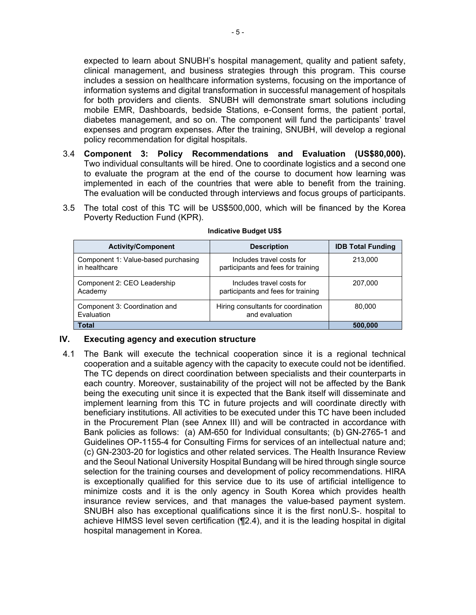expected to learn about SNUBH's hospital management, quality and patient safety, clinical management, and business strategies through this program. This course includes a session on healthcare information systems, focusing on the importance of information systems and digital transformation in successful management of hospitals for both providers and clients. SNUBH will demonstrate smart solutions including mobile EMR, Dashboards, bedside Stations, e-Consent forms, the patient portal, diabetes management, and so on. The component will fund the participants' travel expenses and program expenses. After the training, SNUBH, will develop a regional policy recommendation for digital hospitals.

- 3.4 **Component 3: Policy Recommendations and Evaluation (US\$80,000).**  Two individual consultants will be hired. One to coordinate logistics and a second one to evaluate the program at the end of the course to document how learning was implemented in each of the countries that were able to benefit from the training. The evaluation will be conducted through interviews and focus groups of participants.
- 3.5 The total cost of this TC will be US\$500,000, which will be financed by the Korea Poverty Reduction Fund (KPR).

| <b>Activity/Component</b>                            | <b>Description</b>                                              | <b>IDB Total Funding</b> |
|------------------------------------------------------|-----------------------------------------------------------------|--------------------------|
| Component 1: Value-based purchasing<br>in healthcare | Includes travel costs for<br>participants and fees for training | 213,000                  |
| Component 2: CEO Leadership<br>Academy               | Includes travel costs for<br>participants and fees for training | 207.000                  |
| Component 3: Coordination and<br>Fvaluation          | Hiring consultants for coordination<br>and evaluation           | 80,000                   |
| <b>Total</b>                                         |                                                                 | 500,000                  |

#### **Indicative Budget US\$**

### **IV. Executing agency and execution structure**

4.1 The Bank will execute the technical cooperation since it is a regional technical cooperation and a suitable agency with the capacity to execute could not be identified. The TC depends on direct coordination between specialists and their counterparts in each country. Moreover, sustainability of the project will not be affected by the Bank being the executing unit since it is expected that the Bank itself will disseminate and implement learning from this TC in future projects and will coordinate directly with beneficiary institutions. All activities to be executed under this TC have been included in the Procurement Plan (see Annex III) and will be contracted in accordance with Bank policies as follows: (a) AM-650 for Individual consultants; (b) GN-2765-1 and Guidelines OP-1155-4 for Consulting Firms for services of an intellectual nature and; (c) GN-2303-20 for logistics and other related services. The Health Insurance Review and the Seoul National University Hospital Bundang will be hired through single source selection for the training courses and development of policy recommendations. HIRA is exceptionally qualified for this service due to its use of artificial intelligence to minimize costs and it is the only agency in South Korea which provides health insurance review services, and that manages the value-based payment system. SNUBH also has exceptional qualifications since it is the first nonU.S-. hospital to achieve HIMSS level seven certification (¶[2.4](#page-1-0)), and it is the leading hospital in digital hospital management in Korea.